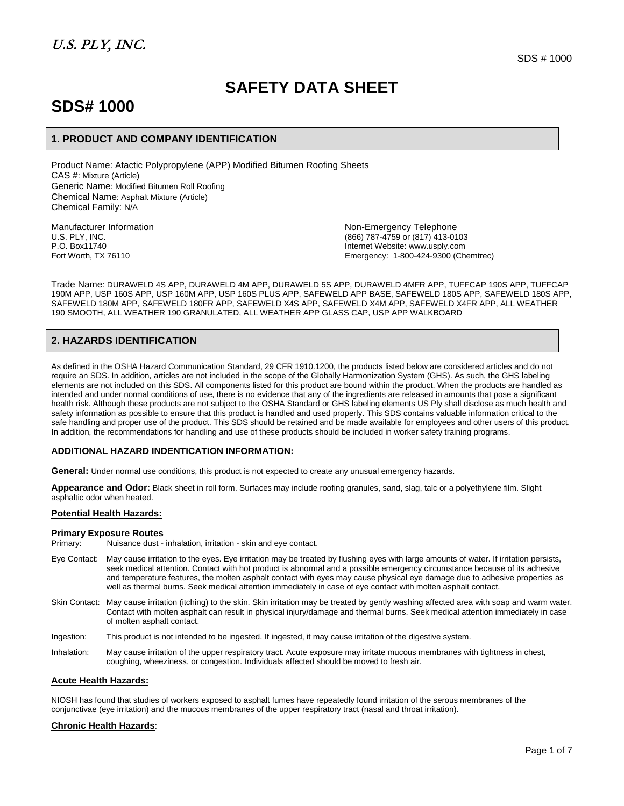# **SAFETY DATA SHEET**

# **SDS# 1000**

## **1. PRODUCT AND COMPANY IDENTIFICATION**

Product Name: Atactic Polypropylene (APP) Modified Bitumen Roofing Sheets CAS #: Mixture (Article) Generic Name: Modified Bitumen Roll Roofing Chemical Name: Asphalt Mixture (Article) Chemical Family: N/A

Manufacturer Information **Manufacturer Information**<br>U.S. PLY, INC. Non-Emergency Telephone<br>(866) 787-4759 or (817) 413-01 U.S. PLY, INC. (866) 787-4759 or (817) 413-0103<br>P.O. Box11740 P.O. Box11740<br>
Fort Worth, TX 76110 **Internet Website: www.usply.com**<br>
Fort Worth, TX 76110 Emergency: 1-800-424-9300 (Chemtrec)

Trade Name: DURAWELD 4S APP, DURAWELD 4M APP, DURAWELD 5S APP, DURAWELD 4MFR APP, TUFFCAP 190S APP, TUFFCAP 190M APP, USP 160S APP, USP 160M APP, USP 160S PLUS APP, SAFEWELD APP BASE, SAFEWELD 180S APP, SAFEWELD 180S APP, SAFEWELD 180M APP, SAFEWELD 180FR APP, SAFEWELD X4S APP, SAFEWELD X4M APP, SAFEWELD X4FR APP, ALL WEATHER 190 SMOOTH, ALL WEATHER 190 GRANULATED, ALL WEATHER APP GLASS CAP, USP APP WALKBOARD

# **2. HAZARDS IDENTIFICATION**

As defined in the OSHA Hazard Communication Standard, 29 CFR 1910.1200, the products listed below are considered articles and do not require an SDS. In addition, articles are not included in the scope of the Globally Harmonization System (GHS). As such, the GHS labeling elements are not included on this SDS. All components listed for this product are bound within the product. When the products are handled as intended and under normal conditions of use, there is no evidence that any of the ingredients are released in amounts that pose a significant health risk. Although these products are not subject to the OSHA Standard or GHS labeling elements US Ply shall disclose as much health and safety information as possible to ensure that this product is handled and used properly. This SDS contains valuable information critical to the safe handling and proper use of the product. This SDS should be retained and be made available for employees and other users of this product. In addition, the recommendations for handling and use of these products should be included in worker safety training programs.

### **ADDITIONAL HAZARD INDENTICATION INFORMATION:**

**General:** Under normal use conditions, this product is not expected to create any unusual emergency hazards.

**Appearance and Odor:** Black sheet in roll form. Surfaces may include roofing granules, sand, slag, talc or a polyethylene film. Slight asphaltic odor when heated.

#### **Potential Health Hazards:**

#### **Primary Exposure Routes**

| Primary:     | Nuisance dust - inhalation, irritation - skin and eye contact.                                                                                                                                                                                                                                                                                                                                                                                                                                                     |
|--------------|--------------------------------------------------------------------------------------------------------------------------------------------------------------------------------------------------------------------------------------------------------------------------------------------------------------------------------------------------------------------------------------------------------------------------------------------------------------------------------------------------------------------|
| Eye Contact: | May cause irritation to the eyes. Eye irritation may be treated by flushing eyes with large amounts of water. If irritation persists,<br>seek medical attention. Contact with hot product is abnormal and a possible emergency circumstance because of its adhesive<br>and temperature features, the molten asphalt contact with eyes may cause physical eye damage due to adhesive properties as<br>well as thermal burns. Seek medical attention immediately in case of eye contact with molten asphalt contact. |
|              | Skin Contact: May cause irritation (itching) to the skin. Skin irritation may be treated by gently washing affected area with soap and warm water.<br>Contact with molten asphalt can result in physical injury/damage and thermal burns. Seek medical attention immediately in case<br>of molten asphalt contact.                                                                                                                                                                                                 |
| Ingestion:   | This product is not intended to be ingested. If ingested, it may cause irritation of the digestive system.                                                                                                                                                                                                                                                                                                                                                                                                         |

Inhalation: May cause irritation of the upper respiratory tract. Acute exposure may irritate mucous membranes with tightness in chest, coughing, wheeziness, or congestion. Individuals affected should be moved to fresh air.

#### **Acute Health Hazards:**

NIOSH has found that studies of workers exposed to asphalt fumes have repeatedly found irritation of the serous membranes of the conjunctivae (eye irritation) and the mucous membranes of the upper respiratory tract (nasal and throat irritation).

### **Chronic Health Hazards**: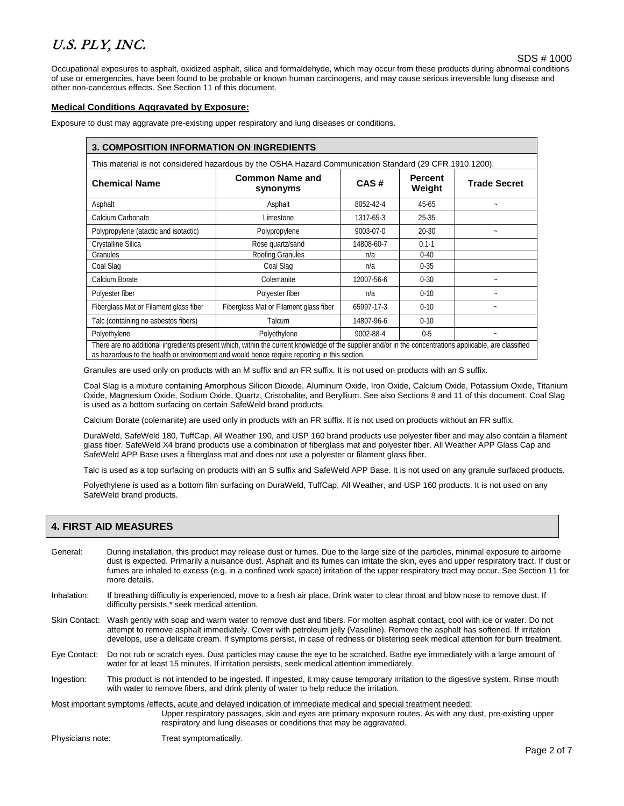Occupational exposures to asphalt, oxidized asphalt, silica and formaldehyde, which may occur from these products during abnormal conditions of use or emergencies, have been found to be probable or known human carcinogens, and may cause serious irreversible lung disease and other non-cancerous effects. See Section 11 of this document.

### **Medical Conditions Aggravated by Exposure:**

Exposure to dust may aggravate pre-existing upper respiratory and lung diseases or conditions.

### **3. COMPOSITION INFORMATION ON INGREDIENTS**

This material is not considered hazardous by the OSHA Hazard Communication Standard (29 CFR 1910.1200).

| <b>Chemical Name</b>                                                                                                                                                                                                                                    | <b>Common Name and</b><br>CAS#<br>synonyms |                 | <b>Percent</b><br>Weight | <b>Trade Secret</b> |  |  |
|---------------------------------------------------------------------------------------------------------------------------------------------------------------------------------------------------------------------------------------------------------|--------------------------------------------|-----------------|--------------------------|---------------------|--|--|
| Asphalt                                                                                                                                                                                                                                                 | Asphalt                                    | 8052-42-4       | 45-65                    |                     |  |  |
| Calcium Carbonate                                                                                                                                                                                                                                       | Limestone                                  | 1317-65-3       | 25-35                    |                     |  |  |
| Polypropylene (atactic and isotactic)                                                                                                                                                                                                                   | Polypropylene                              | $9003 - 07 - 0$ | $20 - 30$                |                     |  |  |
| Crystalline Silica                                                                                                                                                                                                                                      | Rose quartz/sand                           | 14808-60-7      | $0.1 - 1$                |                     |  |  |
| Granules                                                                                                                                                                                                                                                | Roofing Granules                           | n/a             | $0 - 40$                 |                     |  |  |
| Coal Slag                                                                                                                                                                                                                                               | Coal Slag                                  | n/a             | $0 - 35$                 |                     |  |  |
| Calcium Borate<br>Colemanite                                                                                                                                                                                                                            |                                            | 12007-56-6      | $0 - 30$                 |                     |  |  |
| Polyester fiber                                                                                                                                                                                                                                         | Polyester fiber                            | n/a             | $0 - 10$                 |                     |  |  |
| Fiberglass Mat or Filament glass fiber<br>Fiberglass Mat or Filament glass fiber                                                                                                                                                                        |                                            | 65997-17-3      | $0 - 10$                 |                     |  |  |
| Talc (containing no asbestos fibers)                                                                                                                                                                                                                    | Talcum                                     | 14807-96-6      | $0 - 10$                 |                     |  |  |
| Polyethylene                                                                                                                                                                                                                                            | Polyethylene<br>9002-88-4                  |                 | $0 - 5$                  | $\tilde{}$          |  |  |
| There are no additional ingredients present which, within the current knowledge of the supplier and/or in the concentrations applicable, are classified<br>as hazardous to the health or environment and would hence require reporting in this section. |                                            |                 |                          |                     |  |  |

Granules are used only on products with an M suffix and an FR suffix. It is not used on products with an S suffix.

Coal Slag is a mixture containing Amorphous Silicon Dioxide, Aluminum Oxide, Iron Oxide, Calcium Oxide, Potassium Oxide, Titanium Oxide, Magnesium Oxide, Sodium Oxide, Quartz, Cristobalite, and Beryllium. See also Sections 8 and 11 of this document. Coal Slag is used as a bottom surfacing on certain SafeWeld brand products.

Calcium Borate (colemanite) are used only in products with an FR suffix. It is not used on products without an FR suffix.

DuraWeld, SafeWeld 180, TuffCap, All Weather 190, and USP 160 brand products use polyester fiber and may also contain a filament glass fiber. SafeWeld X4 brand products use a combination of fiberglass mat and polyester fiber. All Weather APP Glass Cap and SafeWeld APP Base uses a fiberglass mat and does not use a polyester or filament glass fiber.

Talc is used as a top surfacing on products with an S suffix and SafeWeld APP Base. It is not used on any granule surfaced products.

Polyethylene is used as a bottom film surfacing on DuraWeld, TuffCap, All Weather, and USP 160 products. It is not used on any SafeWeld brand products.

## **4. FIRST AID MEASURES**

| General:         | During installation, this product may release dust or fumes. Due to the large size of the particles, minimal exposure to airborne<br>dust is expected. Primarily a nuisance dust. Asphalt and its fumes can irritate the skin, eyes and upper respiratory tract. If dust or<br>fumes are inhaled to excess (e.g. in a confined work space) irritation of the upper respiratory tract may occur. See Section 11 for<br>more details. |  |  |
|------------------|-------------------------------------------------------------------------------------------------------------------------------------------------------------------------------------------------------------------------------------------------------------------------------------------------------------------------------------------------------------------------------------------------------------------------------------|--|--|
| Inhalation:      | If breathing difficulty is experienced, move to a fresh air place. Drink water to clear throat and blow nose to remove dust. If<br>difficulty persists,* seek medical attention.                                                                                                                                                                                                                                                    |  |  |
| Skin Contact:    | Wash gently with soap and warm water to remove dust and fibers. For molten asphalt contact, cool with ice or water. Do not<br>attempt to remove asphalt immediately. Cover with petroleum jelly (Vaseline). Remove the asphalt has softened. If irritation<br>develops, use a delicate cream. If symptoms persist, in case of redness or blistering seek medical attention for burn treatment.                                      |  |  |
| Eye Contact:     | Do not rub or scratch eyes. Dust particles may cause the eye to be scratched. Bathe eye immediately with a large amount of<br>water for at least 15 minutes. If irritation persists, seek medical attention immediately.                                                                                                                                                                                                            |  |  |
| Ingestion:       | This product is not intended to be ingested. If ingested, it may cause temporary irritation to the digestive system. Rinse mouth<br>with water to remove fibers, and drink plenty of water to help reduce the irritation.                                                                                                                                                                                                           |  |  |
|                  | Most important symptoms / effects, acute and delayed indication of immediate medical and special treatment needed:<br>Upper respiratory passages, skin and eyes are primary exposure routes. As with any dust, pre-existing upper<br>respiratory and lung diseases or conditions that may be aggravated.                                                                                                                            |  |  |
| Physicians note: | Treat symptomatically.                                                                                                                                                                                                                                                                                                                                                                                                              |  |  |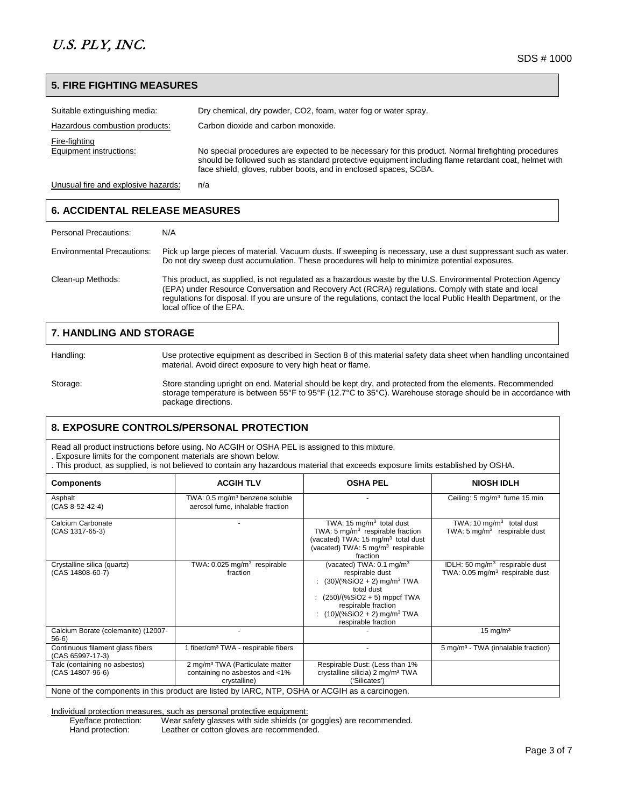## **5. FIRE FIGHTING MEASURES**

| Suitable extinguishing media:            | Dry chemical, dry powder, CO2, foam, water fog or water spray.                                                                                                                                                                                                                  |
|------------------------------------------|---------------------------------------------------------------------------------------------------------------------------------------------------------------------------------------------------------------------------------------------------------------------------------|
| Hazardous combustion products:           | Carbon dioxide and carbon monoxide.                                                                                                                                                                                                                                             |
| Fire-fighting<br>Equipment instructions: | No special procedures are expected to be necessary for this product. Normal firefighting procedures<br>should be followed such as standard protective equipment including flame retardant coat, helmet with<br>face shield, gloves, rubber boots, and in enclosed spaces, SCBA. |

Unusual fire and explosive hazards: n/a

## **6. ACCIDENTAL RELEASE MEASURES**

| Personal Precautions:             | N/A                                                                                                                                                                                                                                                                                                                                                                  |
|-----------------------------------|----------------------------------------------------------------------------------------------------------------------------------------------------------------------------------------------------------------------------------------------------------------------------------------------------------------------------------------------------------------------|
| <b>Environmental Precautions:</b> | Pick up large pieces of material. Vacuum dusts. If sweeping is necessary, use a dust suppressant such as water.<br>Do not dry sweep dust accumulation. These procedures will help to minimize potential exposures.                                                                                                                                                   |
| Clean-up Methods:                 | This product, as supplied, is not regulated as a hazardous waste by the U.S. Environmental Protection Agency<br>(EPA) under Resource Conversation and Recovery Act (RCRA) regulations. Comply with state and local<br>regulations for disposal. If you are unsure of the regulations, contact the local Public Health Department, or the<br>local office of the EPA. |

# **7. HANDLING AND STORAGE**

Handling: Use protective equipment as described in Section 8 of this material safety data sheet when handling uncontained material. Avoid direct exposure to very high heat or flame.

Storage: Store standing upright on end. Material should be kept dry, and protected from the elements. Recommended storage temperature is between 55°F to 95°F (12.7°C to 35°C). Warehouse storage should be in accordance with package directions.

# **8. EXPOSURE CONTROLS/PERSONAL PROTECTION**

Read all product instructions before using. No ACGIH or OSHA PEL is assigned to this mixture.

. Exposure limits for the component materials are shown below.

. This product, as supplied, is not believed to contain any hazardous material that exceeds exposure limits established by OSHA.

| <b>Components</b>                                                                              | <b>ACGIH TLV</b>                                                                              | <b>OSHA PEL</b>                                                                                                                                                                                                                              | <b>NIOSH IDLH</b>                                                                        |  |  |  |  |
|------------------------------------------------------------------------------------------------|-----------------------------------------------------------------------------------------------|----------------------------------------------------------------------------------------------------------------------------------------------------------------------------------------------------------------------------------------------|------------------------------------------------------------------------------------------|--|--|--|--|
| Asphalt<br>$(CAS 8-52-42-4)$                                                                   | TWA: 0.5 mg/m <sup>3</sup> benzene soluble<br>aerosol fume, inhalable fraction                |                                                                                                                                                                                                                                              | Ceiling: 5 mg/m <sup>3</sup> fume 15 min                                                 |  |  |  |  |
| Calcium Carbonate<br>(CAS 1317-65-3)                                                           |                                                                                               | TWA: 15 $mq/m3$ total dust<br>TWA: 5 mg/m <sup>3</sup> respirable fraction<br>(vacated) TWA: 15 mg/m <sup>3</sup> total dust<br>(vacated) TWA: $5 \text{ mg/m}^3$ respirable<br>fraction                                                     | TWA: 10 $mg/m3$ total dust<br>TWA: $5 \text{ mg/m}^3$ respirable dust                    |  |  |  |  |
| Crystalline silica (quartz)<br>(CAS 14808-60-7)                                                | TWA: $0.025$ mg/m <sup>3</sup> respirable<br>fraction                                         | (vacated) TWA: 0.1 mg/m <sup>3</sup><br>respirable dust<br>$(30)/(%SiO2 + 2)$ mg/m <sup>3</sup> TWA<br>total dust<br>$(250)/(%SiO2 + 5)$ mppcf TWA<br>respirable fraction<br>$(10)/(%SiO2 + 2)$ mg/m <sup>3</sup> TWA<br>respirable fraction | IDLH: 50 mg/m <sup>3</sup> respirable dust<br>TWA: $0.05 \text{ mg/m}^3$ respirable dust |  |  |  |  |
| Calcium Borate (colemanite) (12007-<br>$56-6$                                                  |                                                                                               |                                                                                                                                                                                                                                              | $15 \text{ mg/m}^3$                                                                      |  |  |  |  |
| Continuous filament glass fibers<br>(CAS 65997-17-3)                                           | 1 fiber/cm <sup>3</sup> TWA - respirable fibers                                               |                                                                                                                                                                                                                                              | 5 mg/m <sup>3</sup> - TWA (inhalable fraction)                                           |  |  |  |  |
| Talc (containing no asbestos)<br>(CAS 14807-96-6)                                              | 2 mg/m <sup>3</sup> TWA (Particulate matter<br>containing no asbestos and <1%<br>crystalline) | Respirable Dust: (Less than 1%<br>crystalline silicia) 2 mg/m <sup>3</sup> TWA<br>('Silicates')                                                                                                                                              |                                                                                          |  |  |  |  |
| None of the components in this product are listed by IARC, NTP, OSHA or ACGIH as a carcinogen. |                                                                                               |                                                                                                                                                                                                                                              |                                                                                          |  |  |  |  |

Individual protection measures, such as personal protective equipment: Wear safety glasses with side shields (or goggles) are recommended.

Hand protection: Leather or cotton gloves are recommended.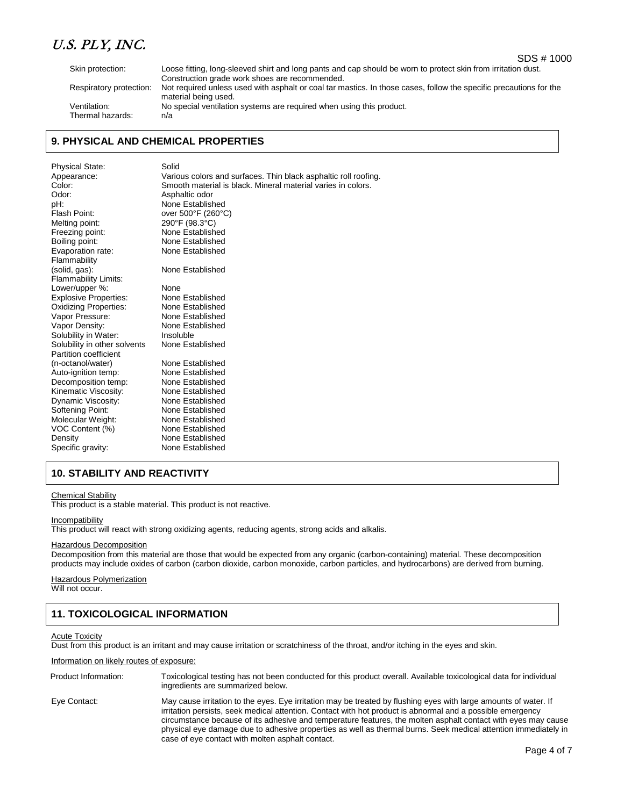Skin protection: Loose fitting, long-sleeved shirt and long pants and cap should be worn to protect skin from irritation dust.

Thermal hazards:

Construction grade work shoes are recommended. Respiratory protection: Not required unless used with asphalt or coal tar mastics. In those cases, follow the specific precautions for the material being used. Ventilation:<br>Thermal hazards:  $n/a$  n/a<br>Thermal hazards:  $n/a$ 

## **9. PHYSICAL AND CHEMICAL PROPERTIES**

| Physical State:              | Solid                                                           |
|------------------------------|-----------------------------------------------------------------|
| Appearance:                  | Various colors and surfaces. Thin black asphaltic roll roofing. |
| Color:                       | Smooth material is black. Mineral material varies in colors.    |
| Odor:                        | Asphaltic odor                                                  |
| pH:                          | None Established                                                |
| Flash Point:                 | over 500°F (260°C)                                              |
| Melting point:               | 290°F (98.3°C)                                                  |
| Freezing point:              | None Established                                                |
| Boiling point:               | None Established                                                |
| Evaporation rate:            | None Established                                                |
| Flammability                 |                                                                 |
| (solid, gas):                | None Established                                                |
| <b>Flammability Limits:</b>  |                                                                 |
| Lower/upper %:               | None                                                            |
| <b>Explosive Properties:</b> | None Established                                                |
| Oxidizing Properties:        | None Established                                                |
| Vapor Pressure:              | None Established                                                |
| Vapor Density:               | None Established                                                |
| Solubility in Water:         | Insoluble                                                       |
| Solubility in other solvents | None Established                                                |
| Partition coefficient        |                                                                 |
| (n-octanol/water)            | None Established                                                |
| Auto-ignition temp:          | None Established                                                |
| Decomposition temp:          | None Established                                                |
| Kinematic Viscosity:         | None Established                                                |
| Dynamic Viscosity:           | None Established                                                |
| Softening Point:             | None Established                                                |
| Molecular Weight:            | None Established                                                |
| VOC Content (%)              | None Established                                                |
| Density                      | None Established                                                |
| Specific gravity:            | None Established                                                |

# **10. STABILITY AND REACTIVITY**

#### Chemical Stability

This product is a stable material. This product is not reactive.

#### **Incompatibility**

This product will react with strong oxidizing agents, reducing agents, strong acids and alkalis.

#### Hazardous Decomposition

Decomposition from this material are those that would be expected from any organic (carbon-containing) material. These decomposition products may include oxides of carbon (carbon dioxide, carbon monoxide, carbon particles, and hydrocarbons) are derived from burning.

# **Hazardous Polymerization**

Will not occur.

# **11. TOXICOLOGICAL INFORMATION**

#### Acute Toxicity

Dust from this product is an irritant and may cause irritation or scratchiness of the throat, and/or itching in the eyes and skin.

#### Information on likely routes of exposure:

Product Information: Toxicological testing has not been conducted for this product overall. Available toxicological data for individual ingredients are summarized below. Eye Contact: May cause irritation to the eyes. Eye irritation may be treated by flushing eyes with large amounts of water. If irritation persists, seek medical attention. Contact with hot product is abnormal and a possible emergency circumstance because of its adhesive and temperature features, the molten asphalt contact with eyes may cause physical eye damage due to adhesive properties as well as thermal burns. Seek medical attention immediately in case of eye contact with molten asphalt contact.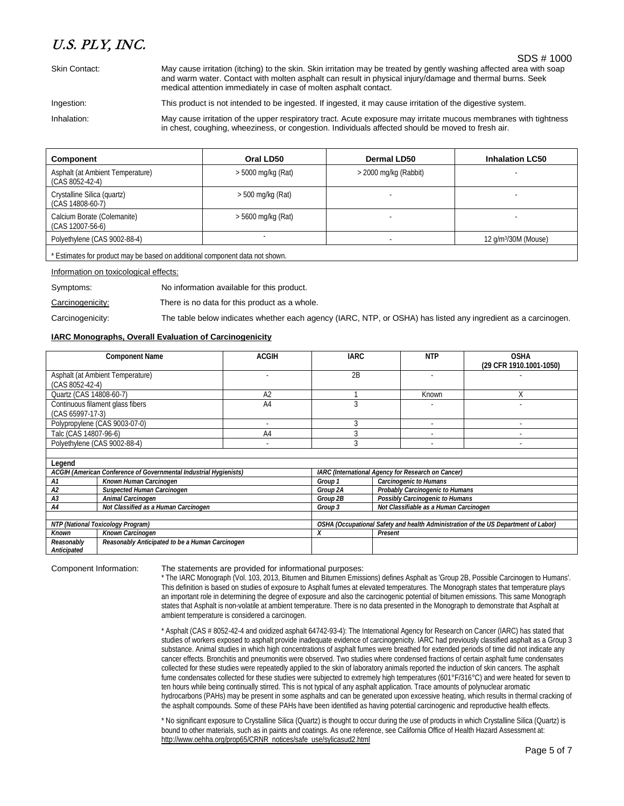Skin Contact: May cause irritation (itching) to the skin. Skin irritation may be treated by gently washing affected area with soap and warm water. Contact with molten asphalt can result in physical injury/damage and thermal burns. Seek medical attention immediately in case of molten asphalt contact.

Ingestion: This product is not intended to be ingested. If ingested, it may cause irritation of the digestive system.

Inhalation: May cause irritation of the upper respiratory tract. Acute exposure may irritate mucous membranes with tightness in chest, coughing, wheeziness, or congestion. Individuals affected should be moved to fresh air.

| Component                                             | Oral LD50            | Dermal LD50             | <b>Inhalation LC50</b>           |
|-------------------------------------------------------|----------------------|-------------------------|----------------------------------|
| Asphalt (at Ambient Temperature)<br>$(CAS 8052-42-4)$ | > 5000 mg/kg (Rat)   | $>$ 2000 mg/kg (Rabbit) |                                  |
| Crystalline Silica (quartz)<br>(CAS 14808-60-7)       | $>$ 500 mg/kg (Rat)  |                         |                                  |
| Calcium Borate (Colemanite)<br>(CAS 12007-56-6)       | $> 5600$ mg/kg (Rat) |                         |                                  |
| Polyethylene (CAS 9002-88-4)                          |                      |                         | 12 g/m <sup>3</sup> /30M (Mouse) |
|                                                       |                      |                         |                                  |

\* Estimates for product may be based on additional component data not shown.

Information on toxicological effects:

Symptoms: No information available for this product.

Carcinogenicity: There is no data for this product as a whole.

Carcinogenicity: The table below indicates whether each agency (IARC, NTP, or OSHA) has listed any ingredient as a carcinogen.

### **IARC Monographs, Overall Evaluation of Carcinogenicity**

|                                   | <b>Component Name</b>                                             | <b>ACGIH</b>   | <b>IARC</b> |                                                                                    | <b>NTP</b>                                                | <b>OSHA</b><br>(29 CFR 1910.1001-1050) |  |
|-----------------------------------|-------------------------------------------------------------------|----------------|-------------|------------------------------------------------------------------------------------|-----------------------------------------------------------|----------------------------------------|--|
|                                   | Asphalt (at Ambient Temperature)                                  |                | 2B          |                                                                                    |                                                           |                                        |  |
| $(CAS 8052-42-4)$                 |                                                                   |                |             |                                                                                    |                                                           |                                        |  |
| Quartz (CAS 14808-60-7)           |                                                                   | A <sub>2</sub> |             |                                                                                    | Known                                                     | X                                      |  |
|                                   | Continuous filament glass fibers                                  | A <sub>4</sub> | 3           |                                                                                    |                                                           |                                        |  |
| (CAS 65997-17-3)                  |                                                                   |                |             |                                                                                    |                                                           |                                        |  |
|                                   | Polypropylene (CAS 9003-07-0)                                     |                | $\Omega$    |                                                                                    |                                                           |                                        |  |
| Talc (CAS 14807-96-6)             |                                                                   | A <sub>4</sub> |             |                                                                                    |                                                           |                                        |  |
| Polyethylene (CAS 9002-88-4)      |                                                                   | ٠              |             |                                                                                    |                                                           |                                        |  |
|                                   |                                                                   |                |             |                                                                                    |                                                           |                                        |  |
| Legend                            |                                                                   |                |             |                                                                                    |                                                           |                                        |  |
|                                   | ACGIH (American Conference of Governmental Industrial Hygienists) |                |             |                                                                                    | <b>IARC</b> (International Agency for Research on Cancer) |                                        |  |
| A1                                | Known Human Carcinogen                                            |                | Group 1     |                                                                                    | Carcinogenic to Humans                                    |                                        |  |
| A2                                | Suspected Human Carcinogen                                        |                | Group 2A    |                                                                                    | Probably Carcinogenic to Humans                           |                                        |  |
| A <sub>3</sub>                    | Animal Carcinogen                                                 |                | Group 2B    | Possibly Carcinogenic to Humans                                                    |                                                           |                                        |  |
| A4                                | Not Classified as a Human Carcinogen                              |                | Group 3     | Not Classifiable as a Human Carcinogen                                             |                                                           |                                        |  |
|                                   |                                                                   |                |             |                                                                                    |                                                           |                                        |  |
| NTP (National Toxicology Program) |                                                                   |                |             | OSHA (Occupational Safety and health Administration of the US Department of Labor) |                                                           |                                        |  |
| Known                             | Known Carcinogen                                                  |                | Χ           | Present                                                                            |                                                           |                                        |  |
| Reasonably<br>Anticipated         | Reasonably Anticipated to be a Human Carcinogen                   |                |             |                                                                                    |                                                           |                                        |  |

Component Information: The statements are provided for informational purposes:

\* The IARC Monograph (Vol. 103, 2013, Bitumen and Bitumen Emissions) defines Asphalt as 'Group 2B, Possible Carcinogen to Humans'. This definition is based on studies of exposure to Asphalt fumes at elevated temperatures. The Monograph states that temperature plays an important role in determining the degree of exposure and also the carcinogenic potential of bitumen emissions. This same Monograph states that Asphalt is non-volatile at ambient temperature. There is no data presented in the Monograph to demonstrate that Asphalt at ambient temperature is considered a carcinogen.

\* Asphalt (CAS # 8052-42-4 and oxidized asphalt 64742-93-4): The International Agency for Research on Cancer (IARC) has stated that studies of workers exposed to asphalt provide inadequate evidence of carcinogenicity. IARC had previously classified asphalt as a Group 3 substance. Animal studies in which high concentrations of asphalt fumes were breathed for extended periods of time did not indicate any cancer effects. Bronchitis and pneumonitis were observed. Two studies where condensed fractions of certain asphalt fume condensates collected for these studies were repeatedly applied to the skin of laboratory animals reported the induction of skin cancers. The asphalt fume condensates collected for these studies were subjected to extremely high temperatures (601°F/316°C) and were heated for seven to ten hours while being continually stirred. This is not typical of any asphalt application. Trace amounts of polynuclear aromatic hydrocarbons (PAHs) may be present in some asphalts and can be generated upon excessive heating, which results in thermal cracking of the asphalt compounds. Some of these PAHs have been identified as having potential carcinogenic and reproductive health effects.

\* No significant exposure to Crystalline Silica (Quartz) is thought to occur during the use of products in which Crystalline Silica (Quartz) is bound to other materials, such as in paints and coatings. As one reference, see California Office of Health Hazard Assessment at: [http://www.oehha.org/prop65/CRNR\\_notices/safe\\_use/sylicasud2.html](http://www.oehha.org/prop65/CRNR_notices/safe_use/sylicasud2.html)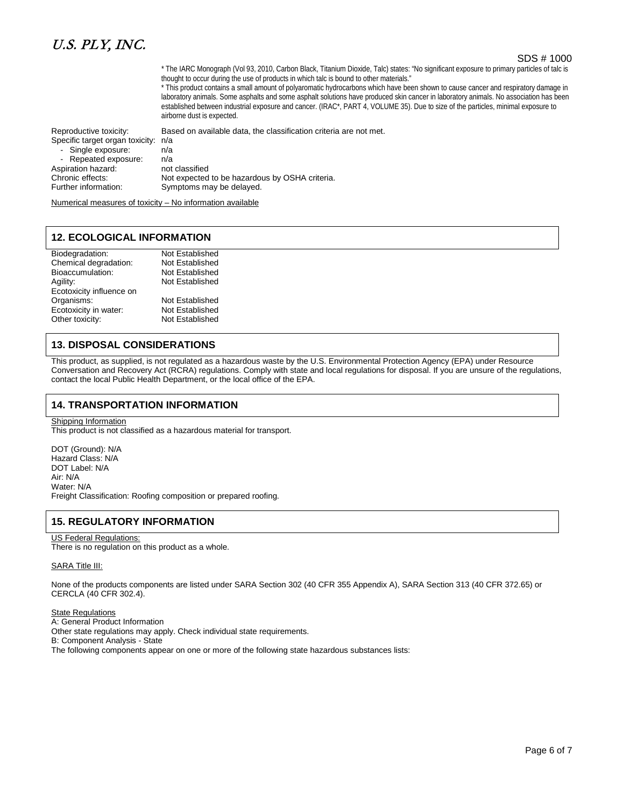## SDS # 1000

\* The IARC Monograph (Vol 93, 2010, Carbon Black, Titanium Dioxide, Talc) states: "No significant exposure to primary particles of talc is thought to occur during the use of products in which talc is bound to other materials."

\* This product contains a small amount of polyaromatic hydrocarbons which have been shown to cause cancer and respiratory damage in laboratory animals. Some asphalts and some asphalt solutions have produced skin cancer in laboratory animals. No association has been established between industrial exposure and cancer. (IRAC\*, PART 4, VOLUME 35). Due to size of the particles, minimal exposure to airborne dust is expected.

Reproductive toxicity: Based on available data, the classification criteria are not met.

Specific target organ toxicity: n/a

| - Single exposure:   | n/a                                            |
|----------------------|------------------------------------------------|
| - Repeated exposure: | n/a                                            |
| Aspiration hazard:   | not classified                                 |
| Chronic effects:     | Not expected to be hazardous by OSHA criteria. |
| Further information: | Symptoms may be delayed.                       |
|                      |                                                |

Numerical measures of toxicity – No information available

## **12. ECOLOGICAL INFORMATION**

| Biodegradation:          | Not Established |
|--------------------------|-----------------|
| Chemical degradation:    | Not Established |
| Bioaccumulation:         | Not Established |
| Agility:                 | Not Established |
| Ecotoxicity influence on |                 |
| Organisms:               | Not Established |
| Ecotoxicity in water:    | Not Established |
| Other toxicity:          | Not Established |

## **13. DISPOSAL CONSIDERATIONS**

This product, as supplied, is not regulated as a hazardous waste by the U.S. Environmental Protection Agency (EPA) under Resource Conversation and Recovery Act (RCRA) regulations. Comply with state and local regulations for disposal. If you are unsure of the regulations, contact the local Public Health Department, or the local office of the EPA.

## **14. TRANSPORTATION INFORMATION**

Shipping Information

This product is not classified as a hazardous material for transport.

DOT (Ground): N/A Hazard Class: N/A DOT Label: N/A Air: N/A Water: N/A Freight Classification: Roofing composition or prepared roofing.

## **15. REGULATORY INFORMATION**

### US Federal Regulations:

There is no regulation on this product as a whole.

#### SARA Title III:

None of the products components are listed under SARA Section 302 (40 CFR 355 Appendix A), SARA Section 313 (40 CFR 372.65) or CERCLA (40 CFR 302.4).

State Regulations A: General Product Information Other state regulations may apply. Check individual state requirements. B: Component Analysis - State The following components appear on one or more of the following state hazardous substances lists: